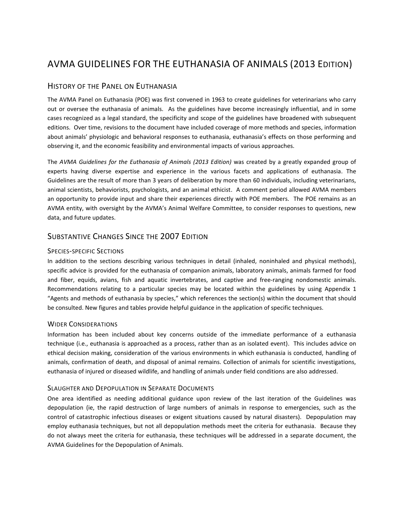# AVMA GUIDELINES FOR THE EUTHANASIA OF ANIMALS (2013 EDITION)

## HISTORY OF THE PANEL ON EUTHANASIA

The AVMA Panel on Euthanasia (POE) was first convened in 1963 to create guidelines for veterinarians who carry out or oversee the euthanasia of animals. As the guidelines have become increasingly influential, and in some cases recognized as a legal standard, the specificity and scope of the guidelines have broadened with subsequent editions. Over time, revisions to the document have included coverage of more methods and species, information about animals' physiologic and behavioral responses to euthanasia, euthanasia's effects on those performing and observing it, and the economic feasibility and environmental impacts of various approaches.

The *AVMA Guidelines for the Euthanasia of Animals (2013 Edition)* was created by a greatly expanded group of experts having diverse expertise and experience in the various facets and applications of euthanasia. The Guidelines are the result of more than 3 years of deliberation by more than 60 individuals, including veterinarians, animal scientists, behaviorists, psychologists, and an animal ethicist. A comment period allowed AVMA members an opportunity to provide input and share their experiences directly with POE members. The POE remains as an AVMA entity, with oversight by the AVMA's Animal Welfare Committee, to consider responses to questions, new data, and future updates.

## SUBSTANTIVE CHANGES SINCE THE 2007 EDITION

#### SPECIES-SPECIFIC SECTIONS

In addition to the sections describing various techniques in detail (inhaled, noninhaled and physical methods), specific advice is provided for the euthanasia of companion animals, laboratory animals, animals farmed for food and fiber, equids, avians, fish and aquatic invertebrates, and captive and free-ranging nondomestic animals. Recommendations relating to a particular species may be located within the guidelines by using Appendix 1 "Agents and methods of euthanasia by species," which references the section(s) within the document that should be consulted. New figures and tables provide helpful guidance in the application of specific techniques.

#### WIDER CONSIDERATIONS

Information has been included about key concerns outside of the immediate performance of a euthanasia technique (i.e., euthanasia is approached as a process, rather than as an isolated event). This includes advice on ethical decision making, consideration of the various environments in which euthanasia is conducted, handling of animals, confirmation of death, and disposal of animal remains. Collection of animals for scientific investigations, euthanasia of injured or diseased wildlife, and handling of animals under field conditions are also addressed.

### SLAUGHTER AND DEPOPULATION IN SEPARATE DOCUMENTS

One area identified as needing additional guidance upon review of the last iteration of the Guidelines was depopulation (ie, the rapid destruction of large numbers of animals in response to emergencies, such as the control of catastrophic infectious diseases or exigent situations caused by natural disasters). Depopulation may employ euthanasia techniques, but not all depopulation methods meet the criteria for euthanasia. Because they do not always meet the criteria for euthanasia, these techniques will be addressed in a separate document, the AVMA Guidelines for the Depopulation of Animals.